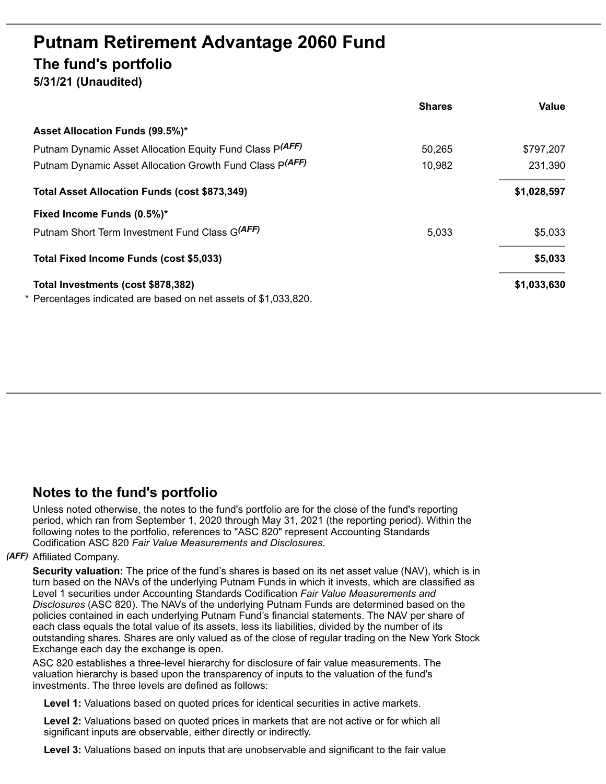# **Putnam Retirement Advantage 2060 Fund The fund's portfolio**

**5/31/21 (Unaudited)**

|                                                                 | <b>Shares</b> | Value       |
|-----------------------------------------------------------------|---------------|-------------|
| Asset Allocation Funds (99.5%)*                                 |               |             |
| Putnam Dynamic Asset Allocation Equity Fund Class P(AFF)        | 50,265        | \$797,207   |
| Putnam Dynamic Asset Allocation Growth Fund Class P(AFF)        | 10,982        | 231,390     |
| Total Asset Allocation Funds (cost \$873,349)                   |               | \$1,028,597 |
| Fixed Income Funds (0.5%)*                                      |               |             |
| Putnam Short Term Investment Fund Class G(AFF)                  | 5,033         | \$5,033     |
| Total Fixed Income Funds (cost \$5,033)                         |               | \$5,033     |
| Total Investments (cost \$878,382)                              |               | \$1,033,630 |
| * Percentages indicated are based on net assets of \$1,033,820. |               |             |

# **Notes to the fund's portfolio**

Unless noted otherwise, the notes to the fund's portfolio are for the close of the fund's reporting period, which ran from September 1, 2020 through May 31, 2021 (the reporting period). Within the following notes to the portfolio, references to "ASC 820" represent Accounting Standards Codification ASC 820 *Fair Value Measurements and Disclosures*.

# *(AFF)* Affiliated Company.

**Security valuation:** The price of the fund's shares is based on its net asset value (NAV), which is in turn based on the NAVs of the underlying Putnam Funds in which it invests, which are classified as Level 1 securities under Accounting Standards Codification *Fair Value Measurements and Disclosures* (ASC 820). The NAVs of the underlying Putnam Funds are determined based on the policies contained in each underlying Putnam Fund's financial statements. The NAV per share of each class equals the total value of its assets, less its liabilities, divided by the number of its outstanding shares. Shares are only valued as of the close of regular trading on the New York Stock Exchange each day the exchange is open.

ASC 820 establishes a three-level hierarchy for disclosure of fair value measurements. The valuation hierarchy is based upon the transparency of inputs to the valuation of the fund's investments. The three levels are defined as follows:

**Level 1:** Valuations based on quoted prices for identical securities in active markets.

**Level 2:** Valuations based on quoted prices in markets that are not active or for which all significant inputs are observable, either directly or indirectly.

**Level 3:** Valuations based on inputs that are unobservable and significant to the fair value